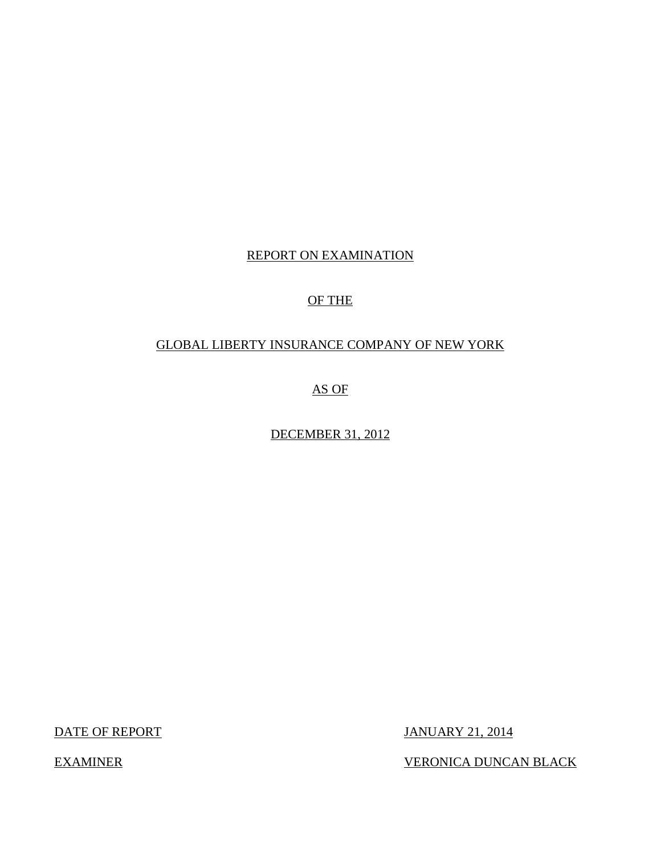## REPORT ON EXAMINATION

## OF THE

## GLOBAL LIBERTY INSURANCE COMPANY OF NEW YORK

AS OF

DECEMBER 31, 2012

DATE OF REPORT JANUARY 21, 2014

EXAMINER VERONICA DUNCAN BLACK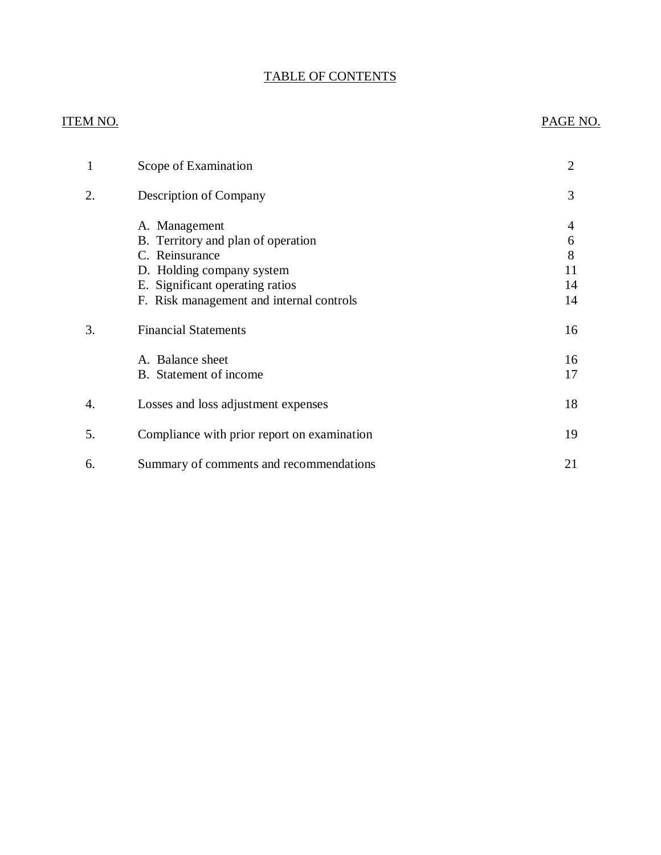## TABLE OF CONTENTS

## ITEM NO. PAGE NO.

| 1  | Scope of Examination                        | $\overline{2}$ |
|----|---------------------------------------------|----------------|
| 2. | Description of Company                      | 3              |
|    | A. Management                               | 4              |
|    | B. Territory and plan of operation          | 6              |
|    | C. Reinsurance                              | 8              |
|    | D. Holding company system                   | 11             |
|    | E. Significant operating ratios             | 14             |
|    | F. Risk management and internal controls    | 14             |
| 3. | <b>Financial Statements</b>                 | 16             |
|    | A. Balance sheet                            | 16             |
|    | B. Statement of income                      | 17             |
| 4. | Losses and loss adjustment expenses         | 18             |
| 5. | Compliance with prior report on examination | 19             |
| 6. | Summary of comments and recommendations     | 21             |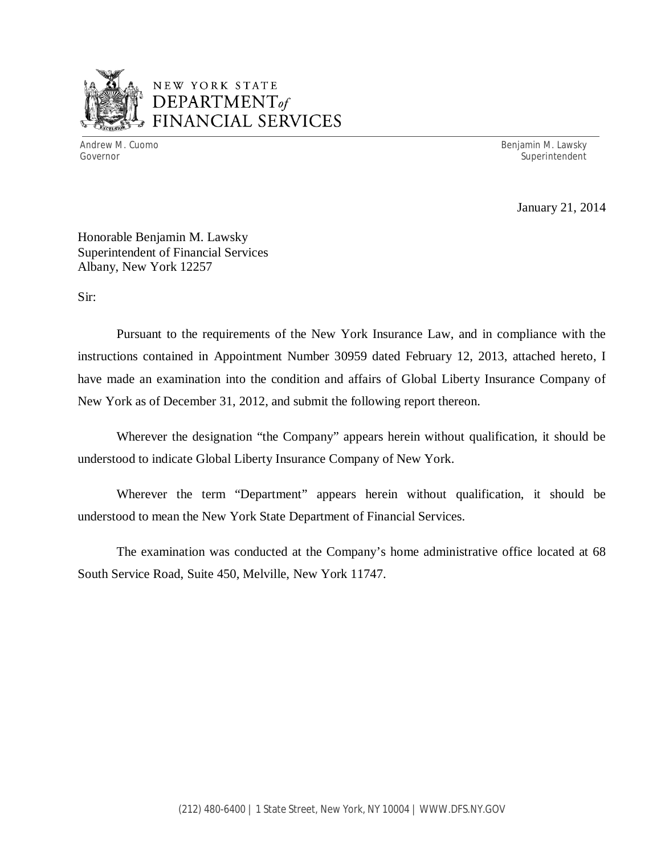

## NEW YORK STATE *DEPARTMENTof*  FINANCIAL SERVICES

Andrew M. Cuomo **Benjamin M. Lawsky** Governor Superintendent Superintendent Superintendent Superintendent Superintendent Superintendent Superintendent

January 21, 2014

Honorable Benjamin M. Lawsky Superintendent of Financial Services Albany, New York 12257

Sir:

Pursuant to the requirements of the New York Insurance Law, and in compliance with the instructions contained in Appointment Number 30959 dated February 12, 2013, attached hereto, I have made an examination into the condition and affairs of Global Liberty Insurance Company of New York as of December 31, 2012, and submit the following report thereon.

Wherever the designation "the Company" appears herein without qualification, it should be understood to indicate Global Liberty Insurance Company of New York.

Wherever the term "Department" appears herein without qualification, it should be understood to mean the New York State Department of Financial Services.

The examination was conducted at the Company's home administrative office located at 68 South Service Road, Suite 450, Melville, New York 11747.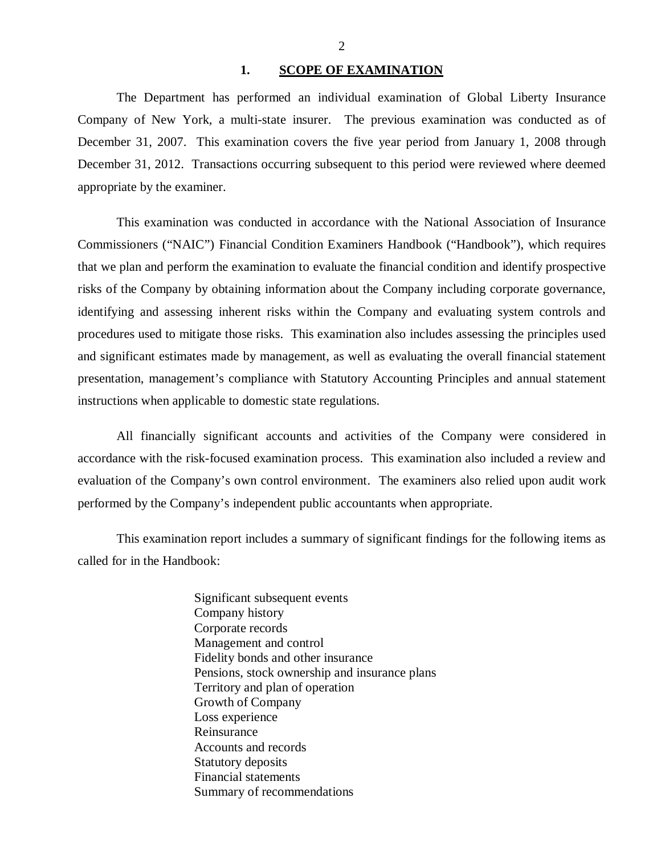#### 1. **SCOPE OF EXAMINATION**

<span id="page-3-0"></span>The Department has performed an individual examination of Global Liberty Insurance Company of New York*,* a multi-state insurer. The previous examination was conducted as of December 31, 2007. This examination covers the five year period from January 1, 2008 through December 31, 2012. Transactions occurring subsequent to this period were reviewed where deemed appropriate by the examiner.

This examination was conducted in accordance with the National Association of Insurance Commissioners ("NAIC") Financial Condition Examiners Handbook ("Handbook"), which requires that we plan and perform the examination to evaluate the financial condition and identify prospective risks of the Company by obtaining information about the Company including corporate governance, identifying and assessing inherent risks within the Company and evaluating system controls and procedures used to mitigate those risks. This examination also includes assessing the principles used and significant estimates made by management, as well as evaluating the overall financial statement presentation, management's compliance with Statutory Accounting Principles and annual statement instructions when applicable to domestic state regulations.

All financially significant accounts and activities of the Company were considered in accordance with the risk-focused examination process. This examination also included a review and evaluation of the Company's own control environment. The examiners also relied upon audit work performed by the Company's independent public accountants when appropriate.

This examination report includes a summary of significant findings for the following items as called for in the Handbook:

> Significant subsequent events Company history Corporate records Management and control Fidelity bonds and other insurance Pensions, stock ownership and insurance plans Territory and plan of operation Growth of Company Loss experience Reinsurance Accounts and records Statutory deposits Financial statements Summary of recommendations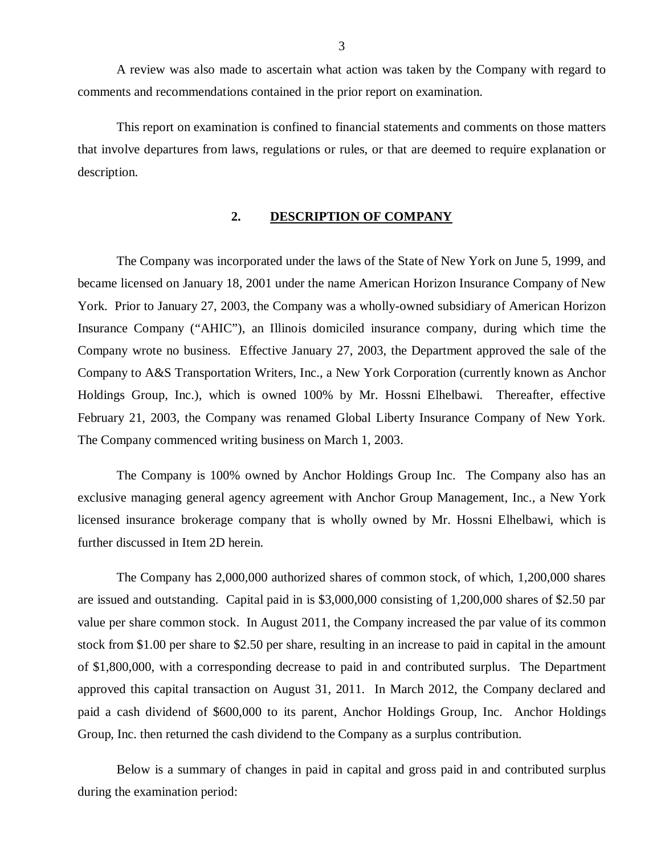<span id="page-4-0"></span>A review was also made to ascertain what action was taken by the Company with regard to comments and recommendations contained in the prior report on examination.

This report on examination is confined to financial statements and comments on those matters that involve departures from laws, regulations or rules, or that are deemed to require explanation or description.

#### **2. DESCRIPTION OF COMPANY**

The Company was incorporated under the laws of the State of New York on June 5, 1999, and became licensed on January 18, 2001 under the name American Horizon Insurance Company of New York. Prior to January 27, 2003, the Company was a wholly-owned subsidiary of American Horizon Insurance Company ("AHIC"), an Illinois domiciled insurance company, during which time the Company wrote no business. Effective January 27, 2003, the Department approved the sale of the Company to A&S Transportation Writers, Inc., a New York Corporation (currently known as Anchor Holdings Group, Inc.), which is owned 100% by Mr. Hossni Elhelbawi. Thereafter, effective February 21, 2003, the Company was renamed Global Liberty Insurance Company of New York. The Company commenced writing business on March 1, 2003.

The Company is 100% owned by Anchor Holdings Group Inc. The Company also has an exclusive managing general agency agreement with Anchor Group Management, Inc., a New York licensed insurance brokerage company that is wholly owned by Mr. Hossni Elhelbawi, which is further discussed in Item 2D herein.

The Company has 2,000,000 authorized shares of common stock, of which, 1,200,000 shares are issued and outstanding. Capital paid in is \$3,000,000 consisting of 1,200,000 shares of \$2.50 par value per share common stock. In August 2011, the Company increased the par value of its common stock from \$1.00 per share to \$2.50 per share, resulting in an increase to paid in capital in the amount of \$1,800,000, with a corresponding decrease to paid in and contributed surplus. The Department approved this capital transaction on August 31, 2011. In March 2012, the Company declared and paid a cash dividend of \$600,000 to its parent, Anchor Holdings Group, Inc. Anchor Holdings Group, Inc. then returned the cash dividend to the Company as a surplus contribution.

Below is a summary of changes in paid in capital and gross paid in and contributed surplus during the examination period: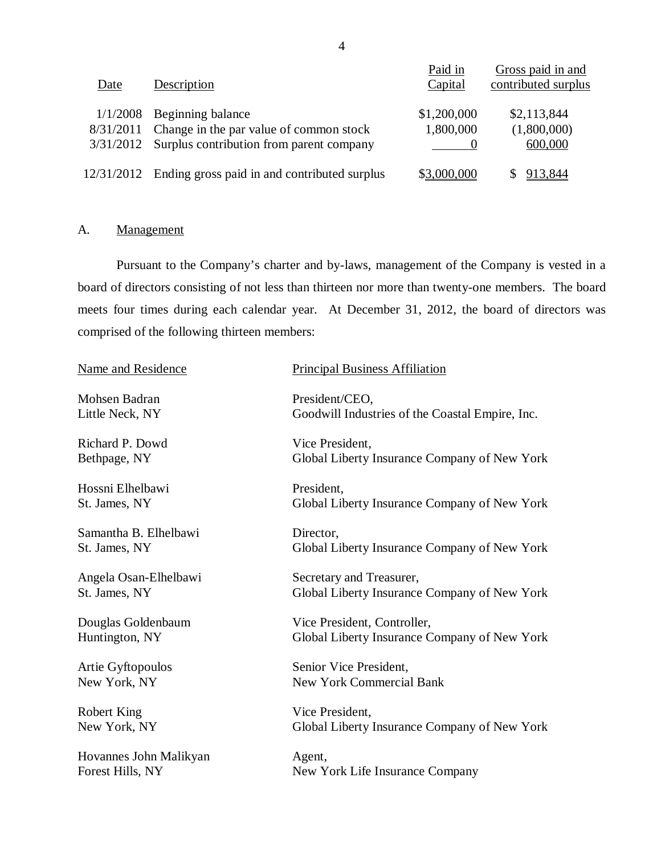| Date       | Description                                                                                                                    | Paid in<br>Capital       | Gross paid in and<br>contributed surplus |
|------------|--------------------------------------------------------------------------------------------------------------------------------|--------------------------|------------------------------------------|
| 1/1/2008   | Beginning balance<br>8/31/2011 Change in the par value of common stock<br>$3/31/2012$ Surplus contribution from parent company | \$1,200,000<br>1,800,000 | \$2,113,844<br>(1,800,000)<br>600,000    |
| 12/31/2012 | Ending gross paid in and contributed surplus                                                                                   | \$3,000,000              | 913.844                                  |

## A. Management

Pursuant to the Company's charter and by-laws, management of the Company is vested in a board of directors consisting of not less than thirteen nor more than twenty-one members. The board meets four times during each calendar year. At December 31, 2012, the board of directors was comprised of the following thirteen members:

| Name and Residence     | <b>Principal Business Affiliation</b>           |
|------------------------|-------------------------------------------------|
| Mohsen Badran          | President/CEO,                                  |
| Little Neck, NY        | Goodwill Industries of the Coastal Empire, Inc. |
| Richard P. Dowd        | Vice President,                                 |
| Bethpage, NY           | Global Liberty Insurance Company of New York    |
| Hossni Elhelbawi       | President,                                      |
| St. James, NY          | Global Liberty Insurance Company of New York    |
| Samantha B. Elhelbawi  | Director,                                       |
| St. James, NY          | Global Liberty Insurance Company of New York    |
| Angela Osan-Elhelbawi  | Secretary and Treasurer,                        |
| St. James, NY          | Global Liberty Insurance Company of New York    |
| Douglas Goldenbaum     | Vice President, Controller,                     |
| Huntington, NY         | Global Liberty Insurance Company of New York    |
| Artie Gyftopoulos      | Senior Vice President,                          |
| New York, NY           | <b>New York Commercial Bank</b>                 |
| Robert King            | Vice President,                                 |
| New York, NY           | Global Liberty Insurance Company of New York    |
| Hovannes John Malikyan | Agent,                                          |
| Forest Hills, NY       | New York Life Insurance Company                 |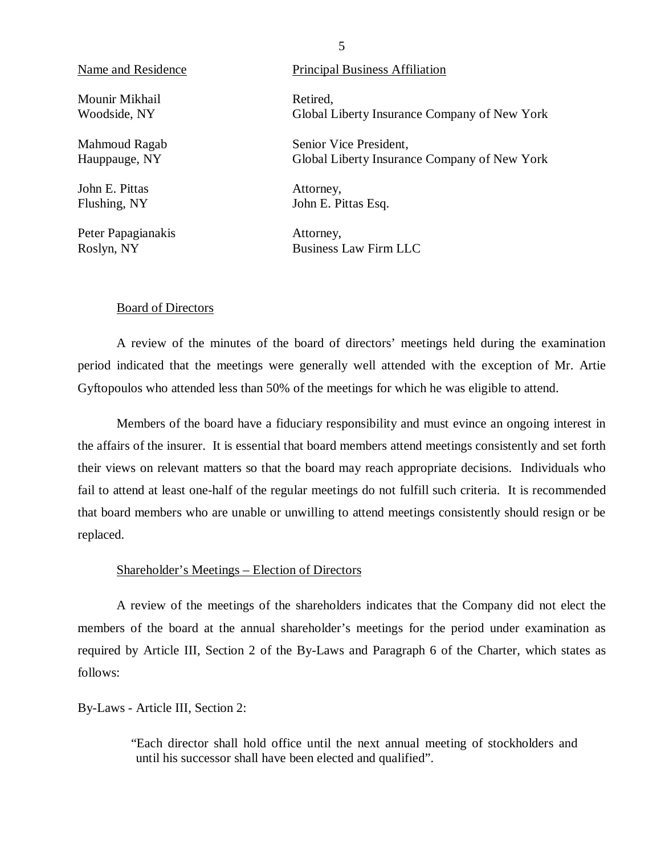Mounir Mikhail **Retired**,

John E. Pittas Attorney,

Peter Papagianakis Attorney,

#### Name and Residence Principal Business Affiliation

Woodside, NY Global Liberty Insurance Company of New York

Mahmoud Ragab Senior Vice President, Hauppauge, NY Global Liberty Insurance Company of New York

Flushing, NY John E. Pittas Esq.

Roslyn, NY Business Law Firm LLC

#### Board of Directors

A review of the minutes of the board of directors' meetings held during the examination period indicated that the meetings were generally well attended with the exception of Mr. Artie Gyftopoulos who attended less than 50% of the meetings for which he was eligible to attend.

Members of the board have a fiduciary responsibility and must evince an ongoing interest in the affairs of the insurer. It is essential that board members attend meetings consistently and set forth their views on relevant matters so that the board may reach appropriate decisions. Individuals who fail to attend at least one-half of the regular meetings do not fulfill such criteria. It is recommended that board members who are unable or unwilling to attend meetings consistently should resign or be replaced.

#### Shareholder's Meetings – Election of Directors

A review of the meetings of the shareholders indicates that the Company did not elect the members of the board at the annual shareholder's meetings for the period under examination as required by Article III, Section 2 of the By-Laws and Paragraph 6 of the Charter, which states as follows:

By-Laws - Article III, Section 2:

"Each director shall hold office until the next annual meeting of stockholders and until his successor shall have been elected and qualified".

#### 5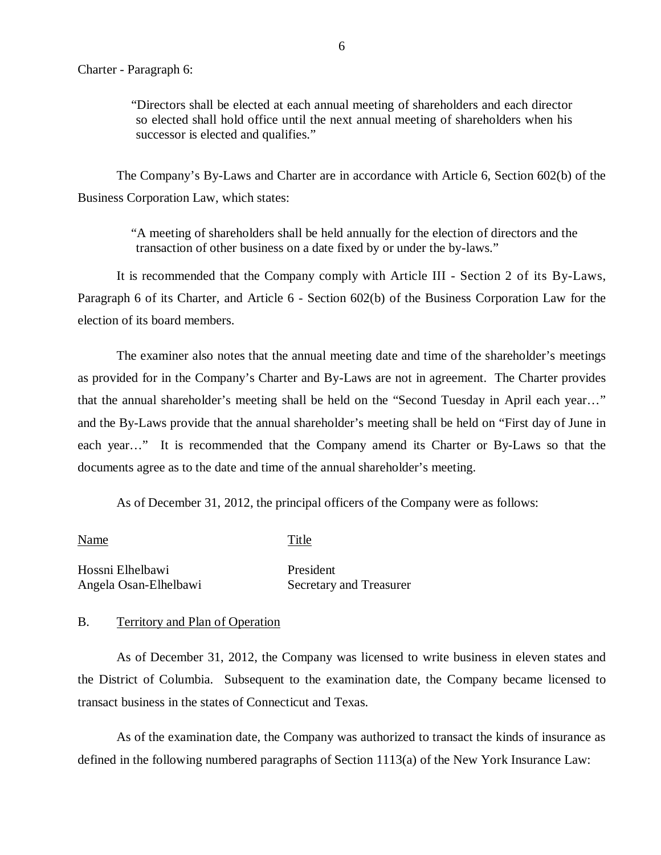"Directors shall be elected at each annual meeting of shareholders and each director so elected shall hold office until the next annual meeting of shareholders when his successor is elected and qualifies."

The Company's By-Laws and Charter are in accordance with Article 6, Section 602(b) of the Business Corporation Law, which states:

> "A meeting of shareholders shall be held annually for the election of directors and the transaction of other business on a date fixed by or under the by-laws."

It is recommended that the Company comply with Article III - Section 2 of its By-Laws, Paragraph 6 of its Charter, and Article 6 - Section 602(b) of the Business Corporation Law for the election of its board members.

The examiner also notes that the annual meeting date and time of the shareholder's meetings as provided for in the Company's Charter and By-Laws are not in agreement. The Charter provides that the annual shareholder's meeting shall be held on the "Second Tuesday in April each year…" and the By-Laws provide that the annual shareholder's meeting shall be held on "First day of June in each year…" It is recommended that the Company amend its Charter or By-Laws so that the documents agree as to the date and time of the annual shareholder's meeting.

As of December 31, 2012, the principal officers of the Company were as follows:

| Name                  | Title                   |  |
|-----------------------|-------------------------|--|
| Hossni Elhelbawi      | President               |  |
| Angela Osan-Elhelbawi | Secretary and Treasurer |  |

#### B. Territory and Plan of Operation

As of December 31, 2012, the Company was licensed to write business in eleven states and the District of Columbia. Subsequent to the examination date, the Company became licensed to transact business in the states of Connecticut and Texas.

As of the examination date, the Company was authorized to transact the kinds of insurance as defined in the following numbered paragraphs of Section 1113(a) of the New York Insurance Law: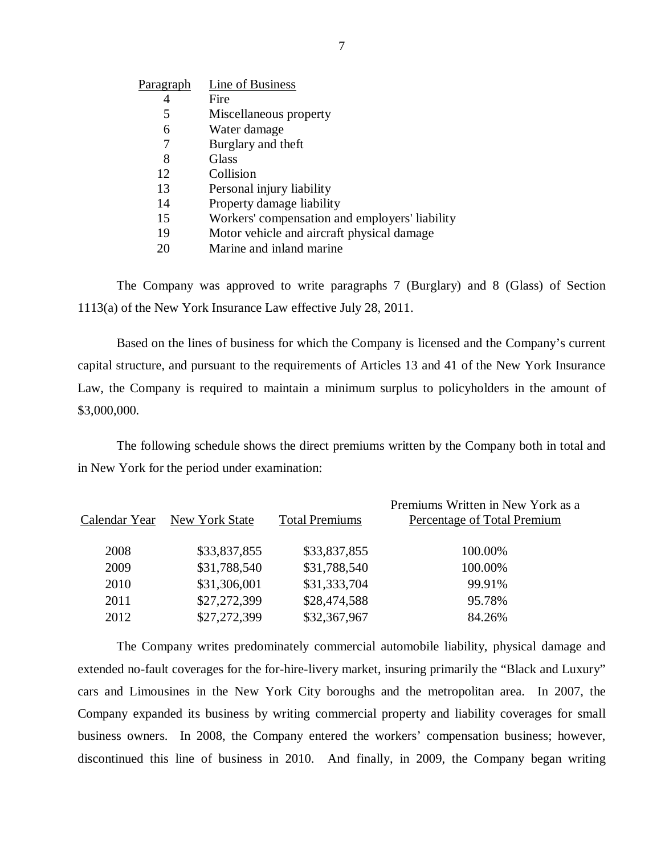| P <u>aragraph</u> | Line of Business                           |
|-------------------|--------------------------------------------|
|                   | Fire                                       |
| 5                 | Miscellaneous property                     |
| 6                 | Water damage                               |
| 7                 | Burglary and theft                         |
| 8                 | Glass                                      |
| 12                | Collision                                  |
| 13                | Personal injury liability                  |
| 14                | Property damage liability                  |
| 15                | Workers' compensation and employers' liabi |
| 19                | Motor vehicle and aircraft physical damage |
| 20                | Marine and inland marine                   |
|                   |                                            |

The Company was approved to write paragraphs 7 (Burglary) and 8 (Glass) of Section 1113(a) of the New York Insurance Law effective July 28, 2011.

liability

Based on the lines of business for which the Company is licensed and the Company's current capital structure, and pursuant to the requirements of Articles 13 and 41 of the New York Insurance Law, the Company is required to maintain a minimum surplus to policyholders in the amount of \$3,000,000.

The following schedule shows the direct premiums written by the Company both in total and in New York for the period under examination:

|      | Calendar Year New York State | <b>Total Premiums</b> | Premiums Written in New York as a<br>Percentage of Total Premium |
|------|------------------------------|-----------------------|------------------------------------------------------------------|
| 2008 | \$33,837,855                 | \$33,837,855          | 100.00%                                                          |
| 2009 | \$31,788,540                 | \$31,788,540          | 100.00%                                                          |
| 2010 | \$31,306,001                 | \$31,333,704          | 99.91%                                                           |
| 2011 | \$27,272,399                 | \$28,474,588          | 95.78%                                                           |
| 2012 | \$27,272,399                 | \$32,367,967          | 84.26%                                                           |

The Company writes predominately commercial automobile liability, physical damage and extended no-fault coverages for the for-hire-livery market, insuring primarily the "Black and Luxury" cars and Limousines in the New York City boroughs and the metropolitan area. In 2007, the Company expanded its business by writing commercial property and liability coverages for small business owners. In 2008, the Company entered the workers' compensation business; however, discontinued this line of business in 2010. And finally, in 2009, the Company began writing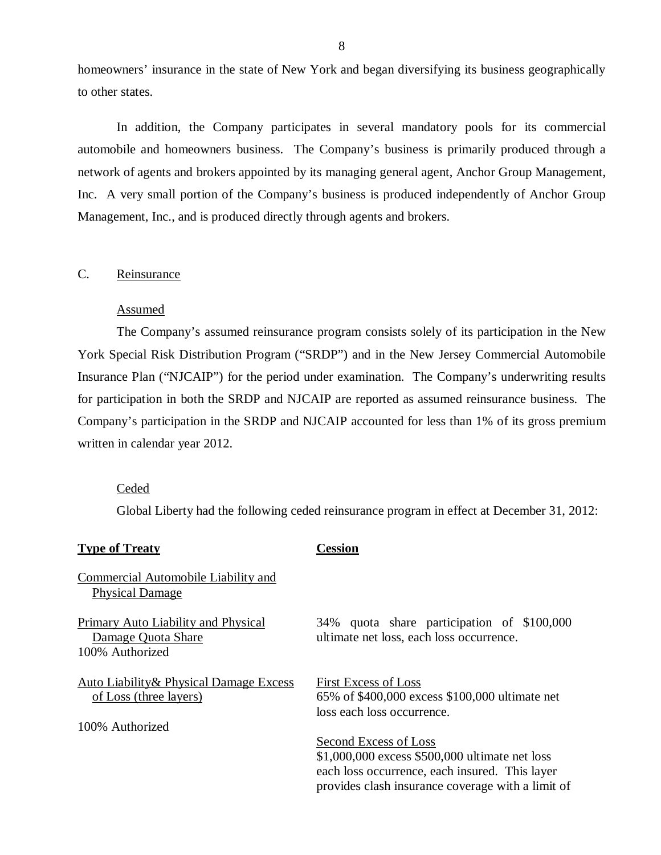<span id="page-9-0"></span>homeowners' insurance in the state of New York and began diversifying its business geographically to other states.

In addition, the Company participates in several mandatory pools for its commercial automobile and homeowners business. The Company's business is primarily produced through a network of agents and brokers appointed by its managing general agent, Anchor Group Management, Inc. A very small portion of the Company's business is produced independently of Anchor Group Management, Inc., and is produced directly through agents and brokers.

### C. Reinsurance

#### Assumed

The Company's assumed reinsurance program consists solely of its participation in the New York Special Risk Distribution Program ("SRDP") and in the New Jersey Commercial Automobile Insurance Plan ("NJCAIP") for the period under examination. The Company's underwriting results for participation in both the SRDP and NJCAIP are reported as assumed reinsurance business. The Company's participation in the SRDP and NJCAIP accounted for less than 1% of its gross premium written in calendar year 2012.

#### Ceded

Global Liberty had the following ceded reinsurance program in effect at December 31, 2012:

| <b>Type of Treaty</b>                                                                | Cession                                                                                                                                                                        |
|--------------------------------------------------------------------------------------|--------------------------------------------------------------------------------------------------------------------------------------------------------------------------------|
| Commercial Automobile Liability and<br><b>Physical Damage</b>                        |                                                                                                                                                                                |
| Primary Auto Liability and Physical<br>Damage Quota Share<br>100% Authorized         | quota share participation of \$100,000<br>34%<br>ultimate net loss, each loss occurrence.                                                                                      |
| Auto Liability & Physical Damage Excess<br>of Loss (three layers)<br>100% Authorized | <b>First Excess of Loss</b><br>65% of \$400,000 excess \$100,000 ultimate net<br>loss each loss occurrence.                                                                    |
|                                                                                      | Second Excess of Loss<br>\$1,000,000 excess \$500,000 ultimate net loss<br>each loss occurrence, each insured. This layer<br>provides clash insurance coverage with a limit of |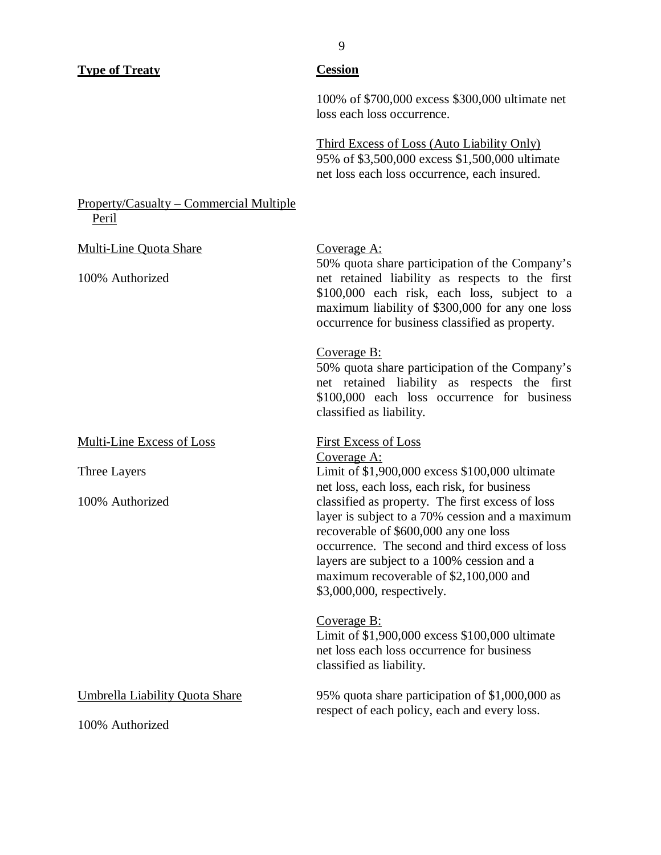| <b>Type of Treaty</b>                                    | <b>Cession</b>                                                                                                                                                                                                                                                                                                        |
|----------------------------------------------------------|-----------------------------------------------------------------------------------------------------------------------------------------------------------------------------------------------------------------------------------------------------------------------------------------------------------------------|
|                                                          | 100% of \$700,000 excess \$300,000 ultimate net<br>loss each loss occurrence.                                                                                                                                                                                                                                         |
|                                                          | <b>Third Excess of Loss (Auto Liability Only)</b><br>95% of \$3,500,000 excess \$1,500,000 ultimate<br>net loss each loss occurrence, each insured.                                                                                                                                                                   |
| Property/Casualty - Commercial Multiple<br>Peril         |                                                                                                                                                                                                                                                                                                                       |
| <b>Multi-Line Quota Share</b><br>100% Authorized         | Coverage A:<br>50% quota share participation of the Company's<br>net retained liability as respects to the first<br>\$100,000 each risk, each loss, subject to a<br>maximum liability of \$300,000 for any one loss<br>occurrence for business classified as property.                                                |
|                                                          | Coverage B:<br>50% quota share participation of the Company's<br>net retained liability as respects the<br>first<br>\$100,000 each loss occurrence for business<br>classified as liability.                                                                                                                           |
| Multi-Line Excess of Loss                                | <b>First Excess of Loss</b><br>Coverage A:                                                                                                                                                                                                                                                                            |
| Three Layers                                             | Limit of \$1,900,000 excess \$100,000 ultimate<br>net loss, each loss, each risk, for business                                                                                                                                                                                                                        |
| 100% Authorized                                          | classified as property. The first excess of loss<br>layer is subject to a 70% cession and a maximum<br>recoverable of \$600,000 any one loss<br>occurrence. The second and third excess of loss<br>layers are subject to a 100% cession and a<br>maximum recoverable of \$2,100,000 and<br>\$3,000,000, respectively. |
|                                                          | Coverage B:<br>Limit of \$1,900,000 excess \$100,000 ultimate<br>net loss each loss occurrence for business<br>classified as liability.                                                                                                                                                                               |
| <b>Umbrella Liability Quota Share</b><br>100% Authorized | 95% quota share participation of \$1,000,000 as<br>respect of each policy, each and every loss.                                                                                                                                                                                                                       |

9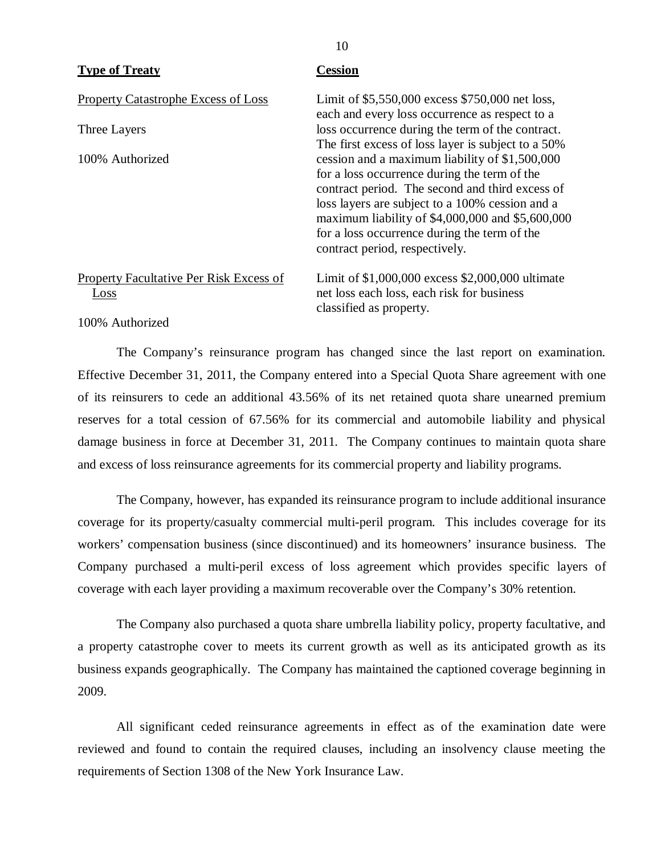| <b>Type of Treaty</b>                                  | <b>Cession</b>                                                                                                                                                                                                                                                                                                                             |
|--------------------------------------------------------|--------------------------------------------------------------------------------------------------------------------------------------------------------------------------------------------------------------------------------------------------------------------------------------------------------------------------------------------|
| <b>Property Catastrophe Excess of Loss</b>             | Limit of \$5,550,000 excess \$750,000 net loss,<br>each and every loss occurrence as respect to a                                                                                                                                                                                                                                          |
| Three Layers                                           | loss occurrence during the term of the contract.<br>The first excess of loss layer is subject to a 50%                                                                                                                                                                                                                                     |
| 100% Authorized                                        | cession and a maximum liability of \$1,500,000<br>for a loss occurrence during the term of the<br>contract period. The second and third excess of<br>loss layers are subject to a 100% cession and a<br>maximum liability of \$4,000,000 and \$5,600,000<br>for a loss occurrence during the term of the<br>contract period, respectively. |
| <b>Property Facultative Per Risk Excess of</b><br>Loss | Limit of \$1,000,000 excess \$2,000,000 ultimate<br>net loss each loss, each risk for business<br>classified as property.                                                                                                                                                                                                                  |

10

#### 100% Authorized

The Company's reinsurance program has changed since the last report on examination. Effective December 31, 2011, the Company entered into a Special Quota Share agreement with one of its reinsurers to cede an additional 43.56% of its net retained quota share unearned premium reserves for a total cession of 67.56% for its commercial and automobile liability and physical damage business in force at December 31, 2011. The Company continues to maintain quota share and excess of loss reinsurance agreements for its commercial property and liability programs.

The Company, however, has expanded its reinsurance program to include additional insurance coverage for its property/casualty commercial multi-peril program. This includes coverage for its workers' compensation business (since discontinued) and its homeowners' insurance business. The Company purchased a multi-peril excess of loss agreement which provides specific layers of coverage with each layer providing a maximum recoverable over the Company's 30% retention.

The Company also purchased a quota share umbrella liability policy, property facultative, and a property catastrophe cover to meets its current growth as well as its anticipated growth as its business expands geographically. The Company has maintained the captioned coverage beginning in 2009.

All significant ceded reinsurance agreements in effect as of the examination date were reviewed and found to contain the required clauses, including an insolvency clause meeting the requirements of Section 1308 of the New York Insurance Law.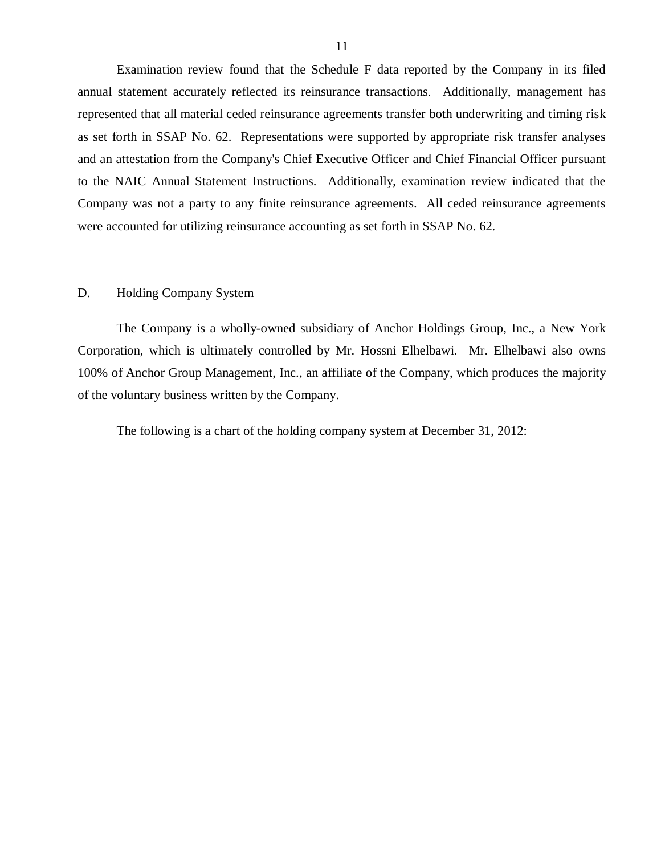<span id="page-12-0"></span>Examination review found that the Schedule F data reported by the Company in its filed annual statement accurately reflected its reinsurance transactions. Additionally, management has represented that all material ceded reinsurance agreements transfer both underwriting and timing risk as set forth in SSAP No. 62. Representations were supported by appropriate risk transfer analyses and an attestation from the Company's Chief Executive Officer and Chief Financial Officer pursuant to the NAIC Annual Statement Instructions. Additionally, examination review indicated that the Company was not a party to any finite reinsurance agreements. All ceded reinsurance agreements were accounted for utilizing reinsurance accounting as set forth in SSAP No. 62.

#### D. Holding Company System

The Company is a wholly-owned subsidiary of Anchor Holdings Group, Inc., a New York Corporation, which is ultimately controlled by Mr. Hossni Elhelbawi. Mr. Elhelbawi also owns 100% of Anchor Group Management, Inc., an affiliate of the Company, which produces the majority of the voluntary business written by the Company.

The following is a chart of the holding company system at December 31, 2012: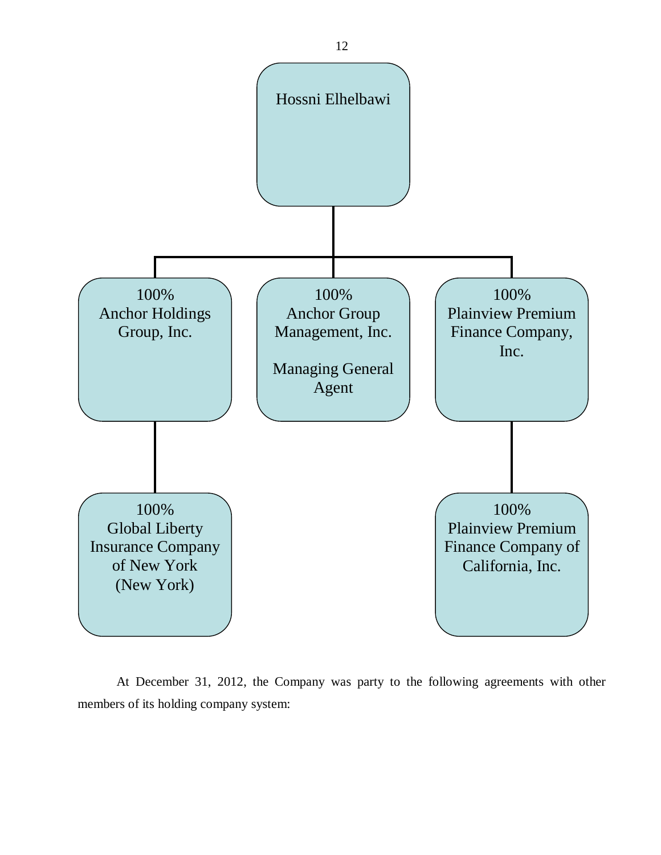

At December 31, 2012, the Company was party to the following agreements with other members of its holding company system: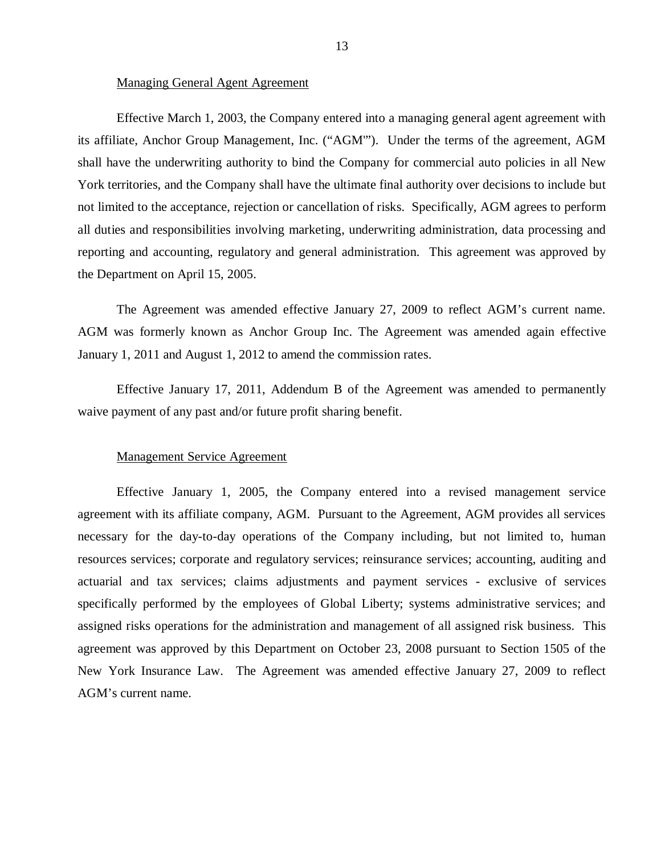#### Managing General Agent Agreement

Effective March 1, 2003, the Company entered into a managing general agent agreement with its affiliate, Anchor Group Management, Inc. ("AGM'"). Under the terms of the agreement, AGM shall have the underwriting authority to bind the Company for commercial auto policies in all New York territories, and the Company shall have the ultimate final authority over decisions to include but not limited to the acceptance, rejection or cancellation of risks. Specifically, AGM agrees to perform all duties and responsibilities involving marketing, underwriting administration, data processing and reporting and accounting, regulatory and general administration. This agreement was approved by the Department on April 15, 2005.

The Agreement was amended effective January 27, 2009 to reflect AGM's current name. AGM was formerly known as Anchor Group Inc. The Agreement was amended again effective January 1, 2011 and August 1, 2012 to amend the commission rates.

Effective January 17, 2011, Addendum B of the Agreement was amended to permanently waive payment of any past and/or future profit sharing benefit.

#### Management Service Agreement

Effective January 1, 2005, the Company entered into a revised management service agreement with its affiliate company, AGM. Pursuant to the Agreement, AGM provides all services necessary for the day-to-day operations of the Company including, but not limited to, human resources services; corporate and regulatory services; reinsurance services; accounting, auditing and actuarial and tax services; claims adjustments and payment services - exclusive of services specifically performed by the employees of Global Liberty; systems administrative services; and assigned risks operations for the administration and management of all assigned risk business. This agreement was approved by this Department on October 23, 2008 pursuant to Section 1505 of the New York Insurance Law. The Agreement was amended effective January 27, 2009 to reflect AGM's current name.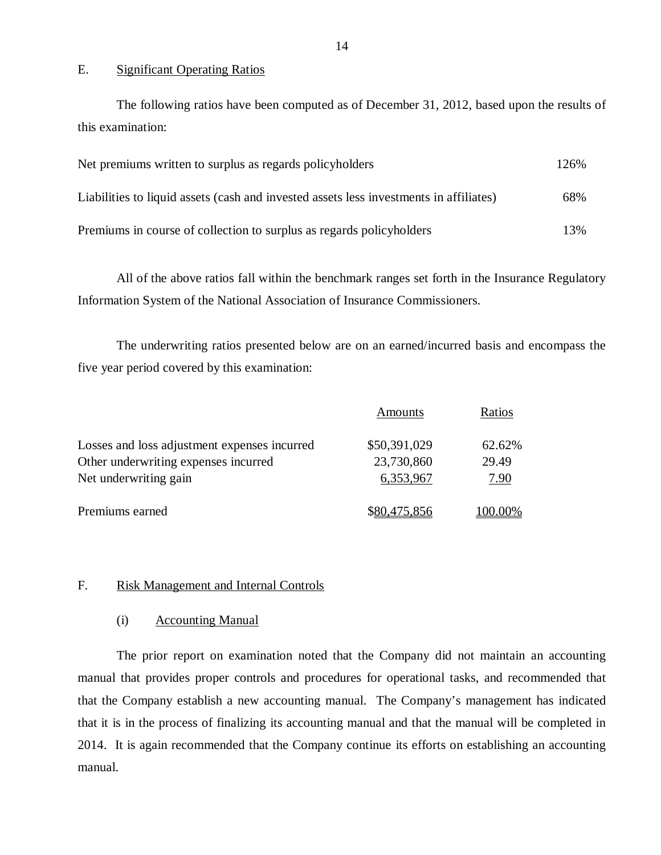#### E. Significant Operating Ratios

The following ratios have been computed as of December 31, 2012, based upon the results of this examination:

| Net premiums written to surplus as regards policyholders                               | 126% |
|----------------------------------------------------------------------------------------|------|
| Liabilities to liquid assets (cash and invested assets less investments in affiliates) | 68%  |
| Premiums in course of collection to surplus as regards policyholders                   | 13%  |

All of the above ratios fall within the benchmark ranges set forth in the Insurance Regulatory Information System of the National Association of Insurance Commissioners.

The underwriting ratios presented below are on an earned/incurred basis and encompass the five year period covered by this examination:

|                                              | Amounts      | Ratios  |
|----------------------------------------------|--------------|---------|
| Losses and loss adjustment expenses incurred | \$50,391,029 | 62.62%  |
| Other underwriting expenses incurred         | 23,730,860   | 29.49   |
| Net underwriting gain                        | 6,353,967    | 7.90    |
| Premiums earned                              | \$80,475,856 | 100.00% |

#### F. Risk Management and Internal Controls

#### (i) Accounting Manual

The prior report on examination noted that the Company did not maintain an accounting manual that provides proper controls and procedures for operational tasks, and recommended that that the Company establish a new accounting manual. The Company's management has indicated that it is in the process of finalizing its accounting manual and that the manual will be completed in 2014. It is again recommended that the Company continue its efforts on establishing an accounting manual.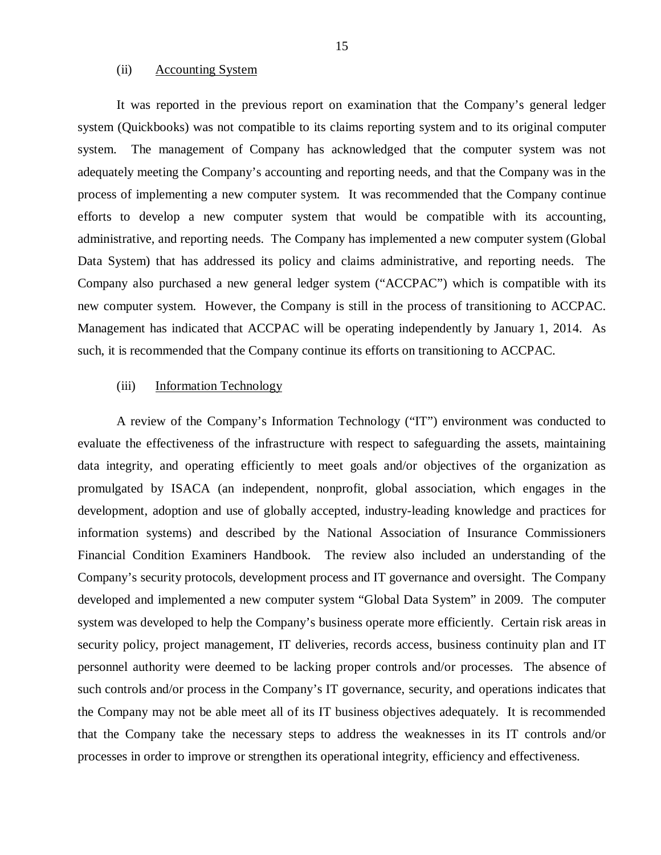#### (ii) Accounting System

It was reported in the previous report on examination that the Company's general ledger system (Quickbooks) was not compatible to its claims reporting system and to its original computer system. The management of Company has acknowledged that the computer system was not adequately meeting the Company's accounting and reporting needs, and that the Company was in the process of implementing a new computer system. It was recommended that the Company continue efforts to develop a new computer system that would be compatible with its accounting, administrative, and reporting needs. The Company has implemented a new computer system (Global Data System) that has addressed its policy and claims administrative, and reporting needs. The Company also purchased a new general ledger system ("ACCPAC") which is compatible with its new computer system. However, the Company is still in the process of transitioning to ACCPAC. Management has indicated that ACCPAC will be operating independently by January 1, 2014. As such, it is recommended that the Company continue its efforts on transitioning to ACCPAC.

#### (iii) Information Technology

A review of the Company's Information Technology ("IT") environment was conducted to evaluate the effectiveness of the infrastructure with respect to safeguarding the assets, maintaining data integrity, and operating efficiently to meet goals and/or objectives of the organization as promulgated by ISACA (an independent, nonprofit, global association, which engages in the development, adoption and use of globally accepted, industry-leading knowledge and practices for information systems) and described by the National Association of Insurance Commissioners Financial Condition Examiners Handbook. The review also included an understanding of the Company's security protocols, development process and IT governance and oversight. The Company developed and implemented a new computer system "Global Data System" in 2009. The computer system was developed to help the Company's business operate more efficiently. Certain risk areas in security policy, project management, IT deliveries, records access, business continuity plan and IT personnel authority were deemed to be lacking proper controls and/or processes. The absence of such controls and/or process in the Company's IT governance, security, and operations indicates that the Company may not be able meet all of its IT business objectives adequately. It is recommended that the Company take the necessary steps to address the weaknesses in its IT controls and/or processes in order to improve or strengthen its operational integrity, efficiency and effectiveness.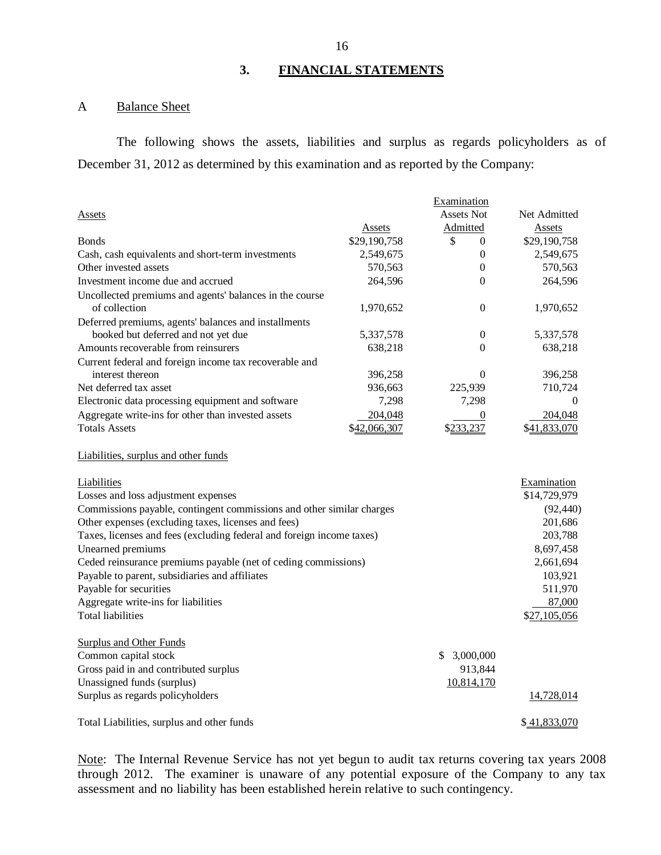#### **3. FINANCIAL STATEMENTS**

### A Balance Sheet

The following shows the assets, liabilities and surplus as regards policyholders as of December 31, 2012 as determined by this examination and as reported by the Company:

|                                                                       |              | Examination        |              |
|-----------------------------------------------------------------------|--------------|--------------------|--------------|
| Assets                                                                |              | <b>Assets Not</b>  | Net Admitted |
|                                                                       | Assets       | Admitted           | Assets       |
| <b>Bonds</b>                                                          | \$29,190,758 | \$<br>$\mathbf{0}$ | \$29,190,758 |
| Cash, cash equivalents and short-term investments                     | 2,549,675    | $\Omega$           | 2,549,675    |
| Other invested assets                                                 | 570,563      | $\overline{0}$     | 570,563      |
| Investment income due and accrued                                     | 264,596      | $\theta$           | 264,596      |
| Uncollected premiums and agents' balances in the course               |              |                    |              |
| of collection                                                         | 1,970,652    | $\overline{0}$     | 1,970,652    |
| Deferred premiums, agents' balances and installments                  |              |                    |              |
| booked but deferred and not yet due                                   | 5,337,578    | $\theta$           | 5,337,578    |
| Amounts recoverable from reinsurers                                   | 638,218      | $\Omega$           | 638,218      |
| Current federal and foreign income tax recoverable and                |              |                    |              |
| interest thereon                                                      | 396,258      | $\Omega$           | 396,258      |
| Net deferred tax asset                                                | 936,663      | 225,939            | 710,724      |
| Electronic data processing equipment and software                     | 7,298        | 7,298              | $\Omega$     |
| Aggregate write-ins for other than invested assets                    | 204,048      | $\boldsymbol{0}$   | 204,048      |
| <b>Totals Assets</b>                                                  | \$42,066,307 | \$233,237          | \$41,833,070 |
| Liabilities, surplus and other funds                                  |              |                    |              |
| Liabilities                                                           |              |                    | Examination  |
| Losses and loss adjustment expenses                                   |              |                    | \$14,729,979 |
| Commissions payable, contingent commissions and other similar charges |              |                    | (92, 440)    |
| Other expenses (excluding taxes, licenses and fees)                   |              |                    | 201,686      |
| Taxes, licenses and fees (excluding federal and foreign income taxes) |              |                    | 203,788      |
| Unearned premiums                                                     |              |                    | 8,697,458    |
| Ceded reinsurance premiums payable (net of ceding commissions)        |              |                    | 2,661,694    |
| Payable to parent, subsidiaries and affiliates                        |              |                    | 103,921      |
| Payable for securities                                                |              |                    | 511,970      |
| Aggregate write-ins for liabilities                                   |              |                    | 87,000       |
| <b>Total liabilities</b>                                              |              |                    | \$27,105,056 |
| <b>Surplus and Other Funds</b>                                        |              |                    |              |
| Common capital stock                                                  |              | \$3,000,000        |              |
| Gross paid in and contributed surplus                                 |              | 913,844            |              |
| Unassigned funds (surplus)                                            |              | 10,814,170         |              |
| Surplus as regards policyholders                                      |              |                    | 14,728,014   |
| Total Liabilities, surplus and other funds                            |              |                    |              |

Note: The Internal Revenue Service has not yet begun to audit tax returns covering tax years 2008 through 2012. The examiner is unaware of any potential exposure of the Company to any tax assessment and no liability has been established herein relative to such contingency.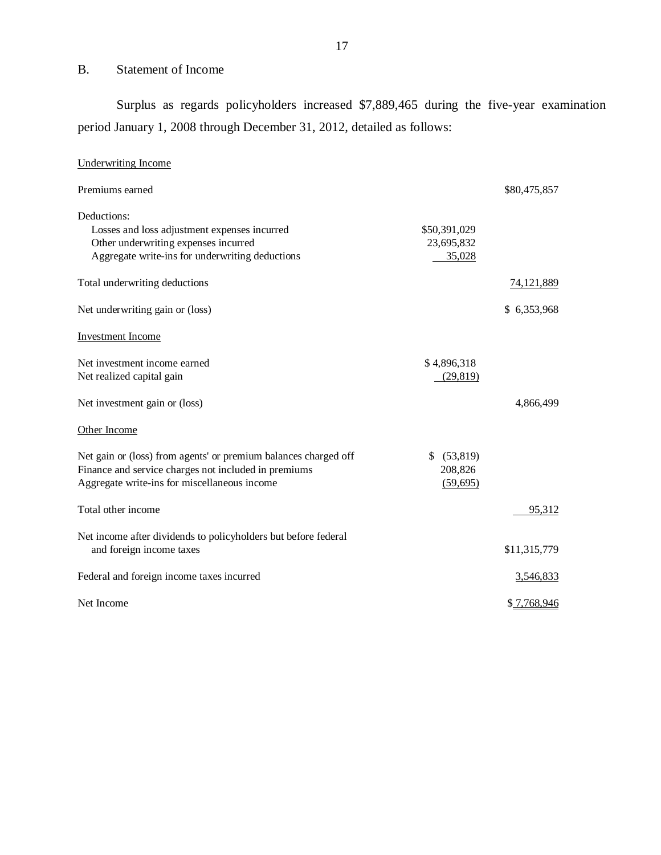## B. Statement of Income

Surplus as regards policyholders increased \$7,889,465 during the five-year examination period January 1, 2008 through December 31, 2012, detailed as follows:

| <b>Underwriting Income</b>                                      |                |              |
|-----------------------------------------------------------------|----------------|--------------|
| Premiums earned                                                 |                | \$80,475,857 |
| Deductions:                                                     |                |              |
| Losses and loss adjustment expenses incurred                    | \$50,391,029   |              |
| Other underwriting expenses incurred                            | 23,695,832     |              |
| Aggregate write-ins for underwriting deductions                 | 35,028         |              |
| Total underwriting deductions                                   |                | 74,121,889   |
| Net underwriting gain or (loss)                                 |                | \$ 6,353,968 |
| Investment Income                                               |                |              |
| Net investment income earned                                    | \$4,896,318    |              |
| Net realized capital gain                                       | (29, 819)      |              |
| Net investment gain or (loss)                                   |                | 4,866,499    |
| Other Income                                                    |                |              |
| Net gain or (loss) from agents' or premium balances charged off | (53, 819)<br>S |              |
| Finance and service charges not included in premiums            | 208,826        |              |
| Aggregate write-ins for miscellaneous income                    | (59, 695)      |              |
| Total other income                                              |                | 95,312       |
| Net income after dividends to policyholders but before federal  |                |              |
| and foreign income taxes                                        |                | \$11,315,779 |
| Federal and foreign income taxes incurred                       |                | 3,546,833    |
| Net Income                                                      |                | \$7,768,946  |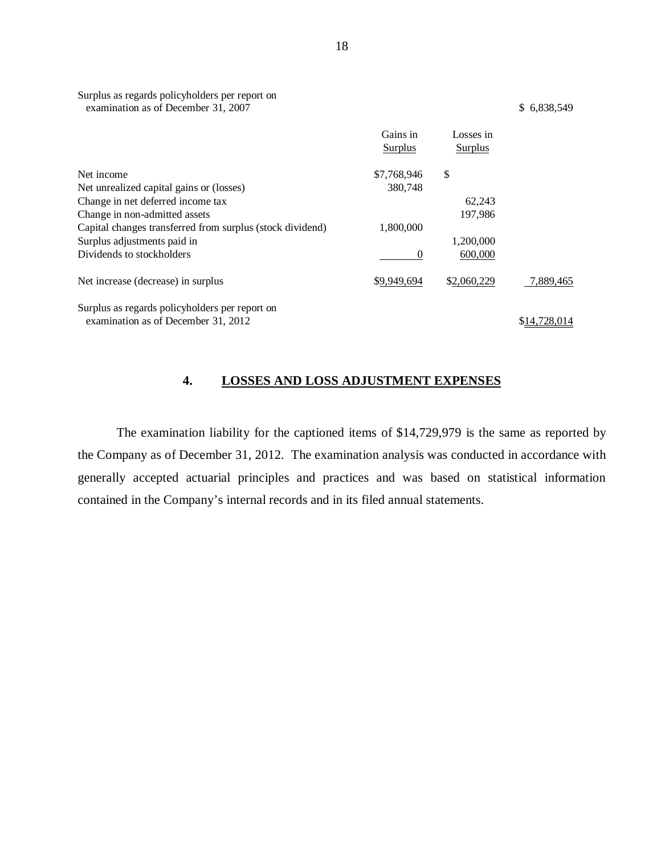|                                                           | Gains in<br>Surplus | Losses in<br>Surplus |              |
|-----------------------------------------------------------|---------------------|----------------------|--------------|
| Net income                                                | \$7,768,946         | \$                   |              |
| Net unrealized capital gains or (losses)                  | 380,748             |                      |              |
| Change in net deferred income tax                         |                     | 62,243               |              |
| Change in non-admitted assets                             |                     | 197,986              |              |
| Capital changes transferred from surplus (stock dividend) | 1,800,000           |                      |              |
| Surplus adjustments paid in                               |                     | 1,200,000            |              |
| Dividends to stockholders                                 | 0                   | 600,000              |              |
| Net increase (decrease) in surplus                        | \$9,949,694         | \$2,060,229          | 7,889,465    |
| Surplus as regards policyholders per report on            |                     |                      |              |
| examination as of December 31, 2012                       |                     |                      | \$14,728,014 |

## **4. LOSSES AND LOSS ADJUSTMENT EXPENSES**

The examination liability for the captioned items of \$14,729,979 is the same as reported by the Company as of December 31, 2012. The examination analysis was conducted in accordance with generally accepted actuarial principles and practices and was based on statistical information contained in the Company's internal records and in its filed annual statements.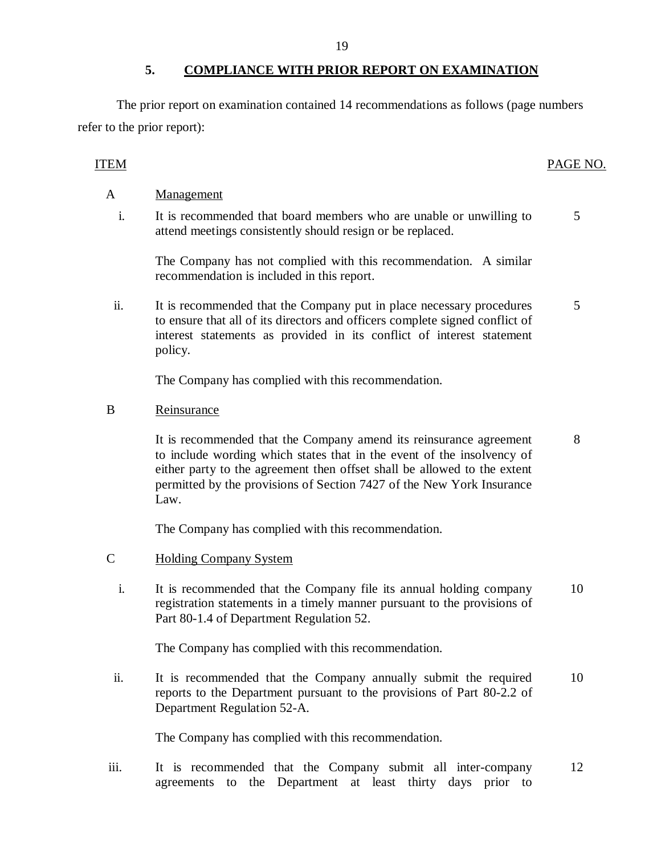#### **5. COMPLIANCE WITH PRIOR REPORT ON EXAMINATION**

<span id="page-20-0"></span>The prior report on examination contained 14 recommendations as follows (page numbers refer to the prior report):

### ITEM PAGE NO.

5

- A Management
	- i. It is recommended that board members who are unable or unwilling to attend meetings consistently should resign or be replaced.

The Company has not complied with this recommendation. A similar recommendation is included in this report.

ii. It is recommended that the Company put in place necessary procedures to ensure that all of its directors and officers complete signed conflict of interest statements as provided in its conflict of interest statement policy. 5

The Company has complied with this recommendation.

### B Reinsurance

It is recommended that the Company amend its reinsurance agreement to include wording which states that in the event of the insolvency of either party to the agreement then offset shall be allowed to the extent permitted by the provisions of Section 7427 of the New York Insurance Law. 8

The Company has complied with this recommendation.

- C Holding Company System
	- i. It is recommended that the Company file its annual holding company registration statements in a timely manner pursuant to the provisions of Part 80-1.4 of Department Regulation 52. 10

The Company has complied with this recommendation.

ii. It is recommended that the Company annually submit the required reports to the Department pursuant to the provisions of Part 80-2.2 of Department Regulation 52-A. 10

The Company has complied with this recommendation.

iii. It is recommended that the Company submit all inter-company agreements to the Department at least thirty days prior to 12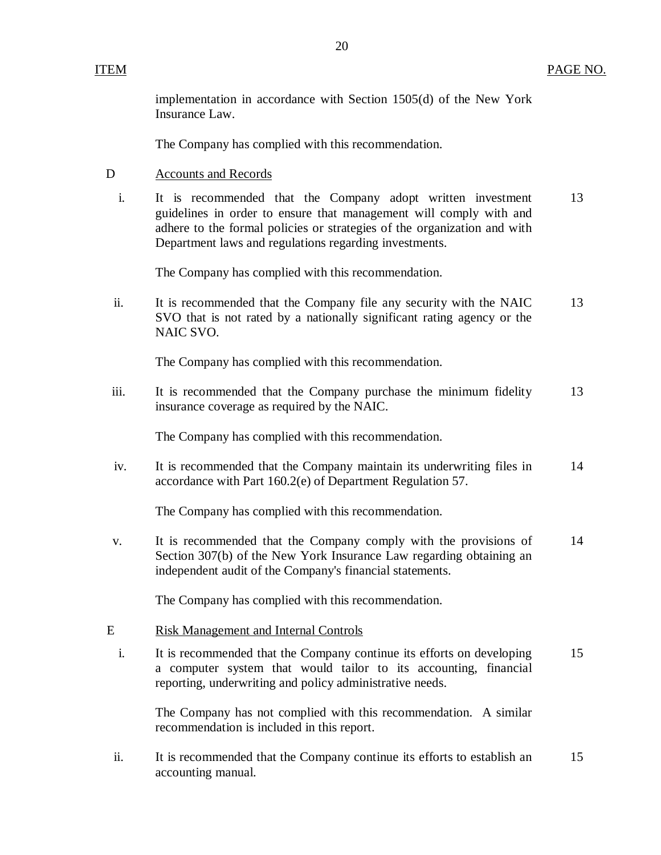implementation in accordance with Section 1505(d) of the New York Insurance Law.

The Company has complied with this recommendation.

- D Accounts and Records
	- i. It is recommended that the Company adopt written investment 13 guidelines in order to ensure that management will comply with and adhere to the formal policies or strategies of the organization and with Department laws and regulations regarding investments.

The Company has complied with this recommendation.

ii. It is recommended that the Company file any security with the NAIC 13 SVO that is not rated by a nationally significant rating agency or the NAIC SVO.

The Company has complied with this recommendation.

iii. It is recommended that the Company purchase the minimum fidelity 13 insurance coverage as required by the NAIC.

The Company has complied with this recommendation.

iv. It is recommended that the Company maintain its underwriting files in 14 accordance with Part 160.2(e) of Department Regulation 57.

The Company has complied with this recommendation.

v. It is recommended that the Company comply with the provisions of 14 Section 307(b) of the New York Insurance Law regarding obtaining an independent audit of the Company's financial statements.

The Company has complied with this recommendation.

#### E Risk Management and Internal Controls

i. It is recommended that the Company continue its efforts on developing 15 a computer system that would tailor to its accounting, financial reporting, underwriting and policy administrative needs.

The Company has not complied with this recommendation. A similar recommendation is included in this report.

ii. It is recommended that the Company continue its efforts to establish an 15 accounting manual.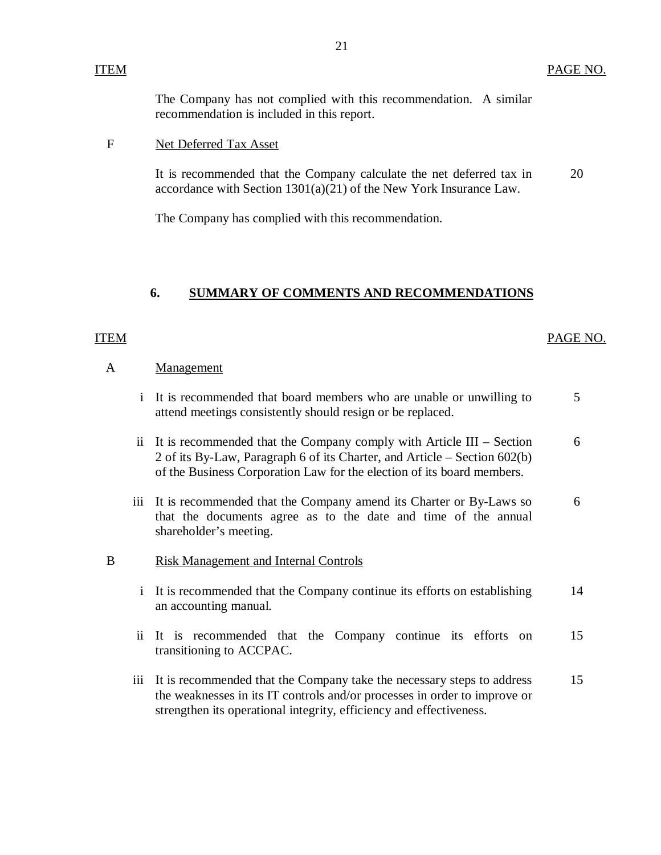The Company has not complied with this recommendation. A similar recommendation is included in this report.

#### F Net Deferred Tax Asset

It is recommended that the Company calculate the net deferred tax in accordance with Section 1301(a)(21) of the New York Insurance Law. 20

The Company has complied with this recommendation.

#### **6. SUMMARY OF COMMENTS AND RECOMMENDATIONS**

#### ITEM PAGE NO.

#### A Management

- i It is recommended that board members who are unable or unwilling to attend meetings consistently should resign or be replaced. 5
- ii It is recommended that the Company comply with Article III Section 2 of its By-Law, Paragraph 6 of its Charter, and Article – Section 602(b) of the Business Corporation Law for the election of its board members. 6
- iii It is recommended that the Company amend its Charter or By-Laws so that the documents agree as to the date and time of the annual shareholder's meeting. 6

#### B Risk Management and Internal Controls

- i It is recommended that the Company continue its efforts on establishing an accounting manual. 14
- ii It is recommended that the Company continue its efforts on 15 transitioning to ACCPAC.
- iii It is recommended that the Company take the necessary steps to address the weaknesses in its IT controls and/or processes in order to improve or strengthen its operational integrity, efficiency and effectiveness. 15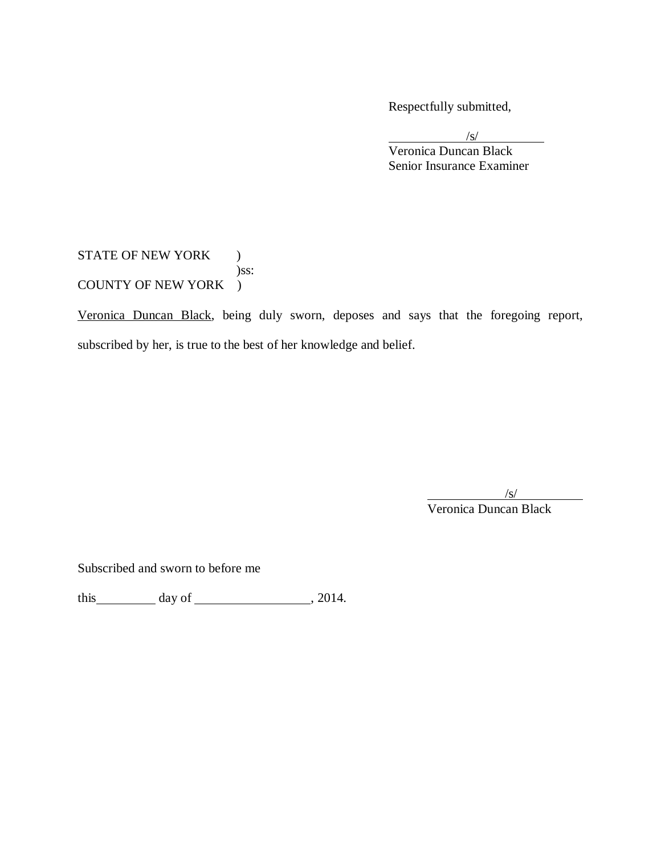Respectfully submitted,

/s/ Veronica Duncan Black Senior Insurance Examiner

STATE OF NEW YORK ) )ss: COUNTY OF NEW YORK )

Veronica Duncan Black, being duly sworn, deposes and says that the foregoing report, subscribed by her, is true to the best of her knowledge and belief.

 $\sqrt{s}$ /

Veronica Duncan Black

Subscribed and sworn to before me

this  $\_\_\_\_\$  day of  $\_\_\_\_\_\_\$ , 2014.